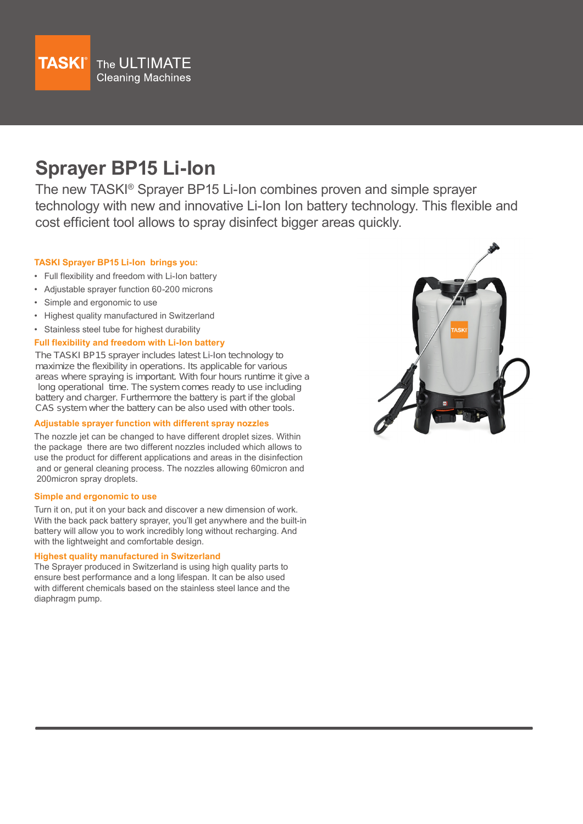

# **Sprayer BP15 Li-Ion**

The new TASKI® Sprayer BP15 Li-Ion combines proven and simple sprayer technology with new and innovative Li-Ion Ion battery technology. This flexible and cost efficient tool allows to spray disinfect bigger areas quickly.

## **TASKI Sprayer BP15 Li-Ion brings you:**

- Full flexibility and freedom with Li-Ion battery
- Adjustable sprayer function 60-200 microns
- Simple and ergonomic to use
- Highest quality manufactured in Switzerland
- Stainless steel tube for highest durability

### **Full flexibility and freedom with Li-Ion battery**

The TASKI BP15 sprayer includes latest Li-Ion technology to maximize the flexibility in operations. Its applicable for various areas where spraying is important. With four hours runtime it give a long operational time. The system comes ready to use including battery and charger. Furthermore the battery is part if the global CAS system wher the battery can be also used with other tools.

#### **Adjustable sprayer function with different spray nozzles**

The nozzle jet can be changed to have different droplet sizes. Within the package there are two different nozzles included which allows to use the product for different applications and areas in the disinfection and or general cleaning process. The nozzles allowing 60micron and 200micron spray droplets.

#### **Simple and ergonomic to use**

Turn it on, put it on your back and discover a new dimension of work. With the back pack battery sprayer, you'll get anywhere and the built-in battery will allow you to work incredibly long without recharging. And with the lightweight and comfortable design.

#### **Highest quality manufactured in Switzerland**

The Sprayer produced in Switzerland is using high quality parts to ensure best performance and a long lifespan. It can be also used with different chemicals based on the stainless steel lance and the diaphragm pump.